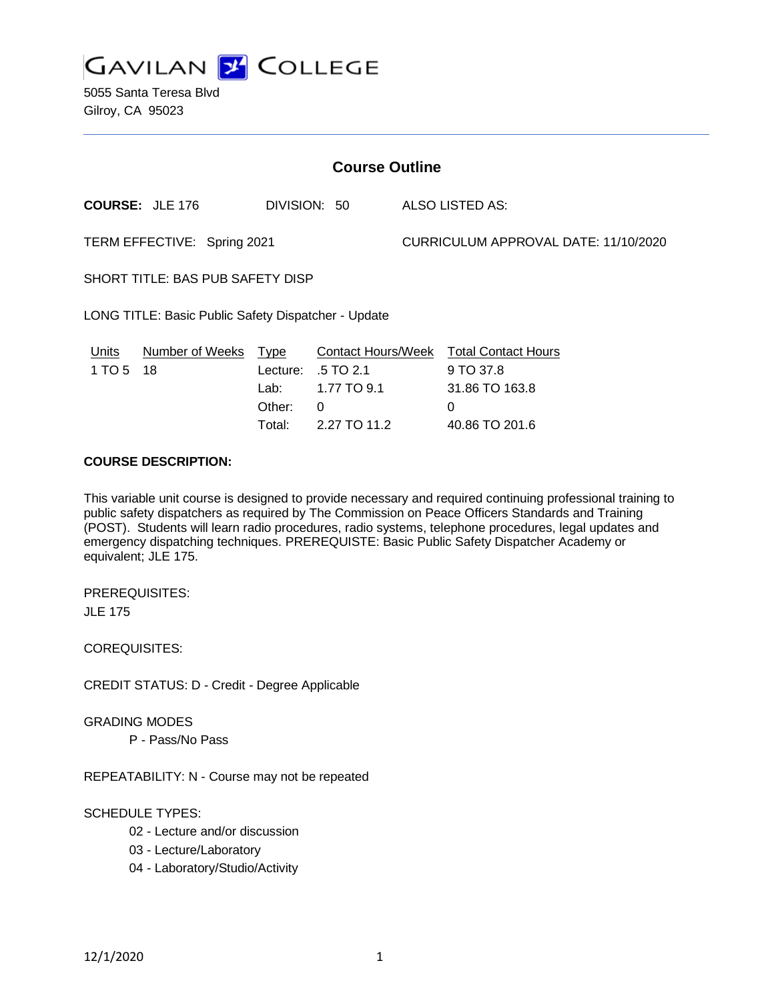

5055 Santa Teresa Blvd Gilroy, CA 95023

| <b>Course Outline</b>                                  |                                                     |                                                                              |                                      |                                                                                  |
|--------------------------------------------------------|-----------------------------------------------------|------------------------------------------------------------------------------|--------------------------------------|----------------------------------------------------------------------------------|
| <b>COURSE: JLE 176</b>                                 |                                                     | DIVISION: 50                                                                 |                                      | ALSO LISTED AS:                                                                  |
| TERM EFFECTIVE: Spring 2021                            |                                                     |                                                                              | CURRICULUM APPROVAL DATE: 11/10/2020 |                                                                                  |
| SHORT TITLE: BAS PUB SAFETY DISP                       |                                                     |                                                                              |                                      |                                                                                  |
| LONG TITLE: Basic Public Safety Dispatcher - Update    |                                                     |                                                                              |                                      |                                                                                  |
| <b>Number of Weeks</b><br><u>Units</u><br>1 TO 5<br>18 | <u>Type</u><br>Lecture:<br>Lab:<br>Other:<br>Total: | <b>Contact Hours/Week</b><br>$.5$ TO 2.1<br>1.77 TO 9.1<br>0<br>2.27 TO 11.2 |                                      | <b>Total Contact Hours</b><br>9 TO 37.8<br>31.86 TO 163.8<br>0<br>40.86 TO 201.6 |

## **COURSE DESCRIPTION:**

This variable unit course is designed to provide necessary and required continuing professional training to public safety dispatchers as required by The Commission on Peace Officers Standards and Training (POST). Students will learn radio procedures, radio systems, telephone procedures, legal updates and emergency dispatching techniques. PREREQUISTE: Basic Public Safety Dispatcher Academy or equivalent; JLE 175.

PREREQUISITES: JLE 175

COREQUISITES:

CREDIT STATUS: D - Credit - Degree Applicable

GRADING MODES

P - Pass/No Pass

REPEATABILITY: N - Course may not be repeated

## SCHEDULE TYPES:

- 02 Lecture and/or discussion
- 03 Lecture/Laboratory
- 04 Laboratory/Studio/Activity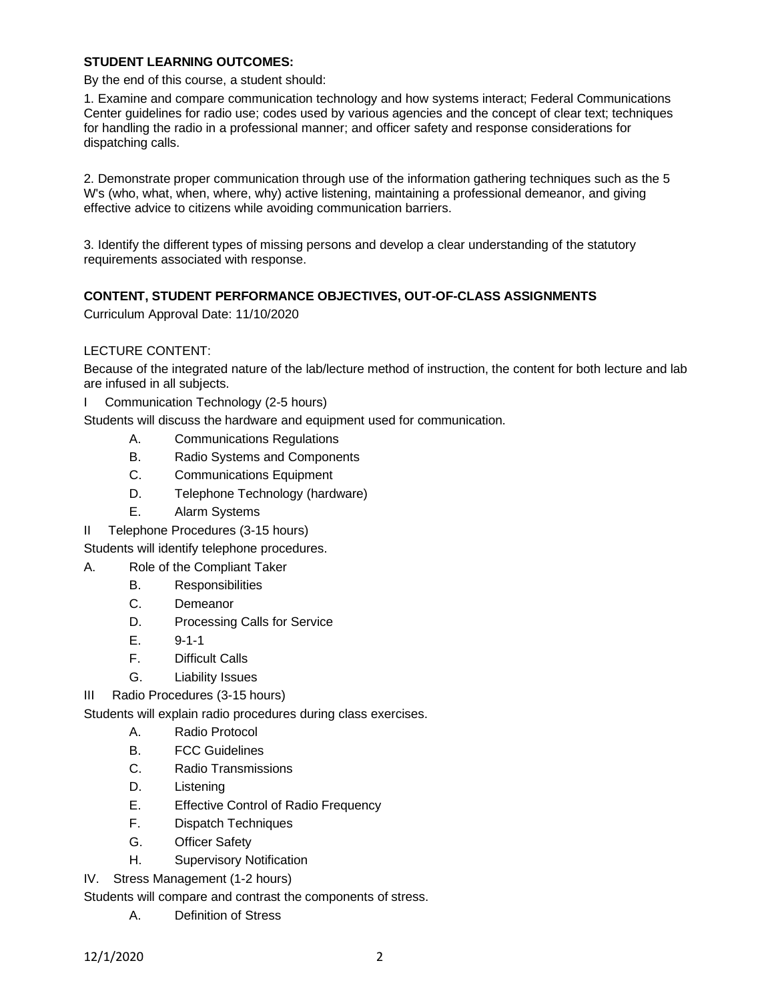### **STUDENT LEARNING OUTCOMES:**

By the end of this course, a student should:

1. Examine and compare communication technology and how systems interact; Federal Communications Center guidelines for radio use; codes used by various agencies and the concept of clear text; techniques for handling the radio in a professional manner; and officer safety and response considerations for dispatching calls.

2. Demonstrate proper communication through use of the information gathering techniques such as the 5 W's (who, what, when, where, why) active listening, maintaining a professional demeanor, and giving effective advice to citizens while avoiding communication barriers.

3. Identify the different types of missing persons and develop a clear understanding of the statutory requirements associated with response.

## **CONTENT, STUDENT PERFORMANCE OBJECTIVES, OUT-OF-CLASS ASSIGNMENTS**

Curriculum Approval Date: 11/10/2020

## LECTURE CONTENT:

Because of the integrated nature of the lab/lecture method of instruction, the content for both lecture and lab are infused in all subjects.

I Communication Technology (2-5 hours)

Students will discuss the hardware and equipment used for communication.

- A. Communications Regulations
- B. Radio Systems and Components
- C. Communications Equipment
- D. Telephone Technology (hardware)
- E. Alarm Systems
- II Telephone Procedures (3-15 hours)

Students will identify telephone procedures.

- A. Role of the Compliant Taker
	- B. Responsibilities
	- C. Demeanor
	- D. Processing Calls for Service
	- E. 9-1-1
	- F. Difficult Calls
	- G. Liability Issues
- III Radio Procedures (3-15 hours)

Students will explain radio procedures during class exercises.

- A. Radio Protocol
- B. FCC Guidelines
- C. Radio Transmissions
- D. Listening
- E. Effective Control of Radio Frequency
- F. Dispatch Techniques
- G. Officer Safety
- H. Supervisory Notification
- IV. Stress Management (1-2 hours)

Students will compare and contrast the components of stress.

A. Definition of Stress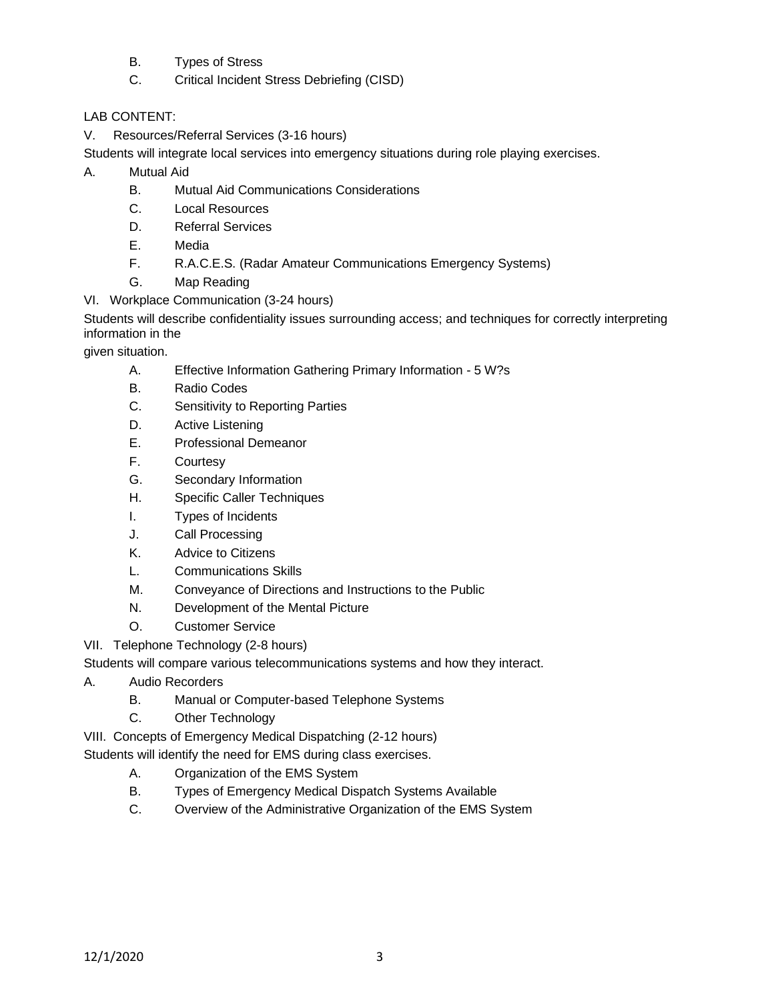B. Types of Stress

# C. Critical Incident Stress Debriefing (CISD)

# LAB CONTENT:

V. Resources/Referral Services (3-16 hours)

Students will integrate local services into emergency situations during role playing exercises.

- A. Mutual Aid
	- B. Mutual Aid Communications Considerations
	- C. Local Resources
	- D. Referral Services
	- E. Media
	- F. R.A.C.E.S. (Radar Amateur Communications Emergency Systems)
	- G. Map Reading
- VI. Workplace Communication (3-24 hours)

Students will describe confidentiality issues surrounding access; and techniques for correctly interpreting information in the

given situation.

- A. Effective Information Gathering Primary Information 5 W?s
- B. Radio Codes
- C. Sensitivity to Reporting Parties
- D. Active Listening
- E. Professional Demeanor
- F. Courtesy
- G. Secondary Information
- H. Specific Caller Techniques
- I. Types of Incidents
- J. Call Processing
- K. Advice to Citizens
- L. Communications Skills
- M. Conveyance of Directions and Instructions to the Public
- N. Development of the Mental Picture
- O. Customer Service

VII. Telephone Technology (2-8 hours)

Students will compare various telecommunications systems and how they interact.

- A. Audio Recorders
	- B. Manual or Computer-based Telephone Systems
	- C. Other Technology

VIII. Concepts of Emergency Medical Dispatching (2-12 hours)

Students will identify the need for EMS during class exercises.

- A. Organization of the EMS System
- B. Types of Emergency Medical Dispatch Systems Available
- C. Overview of the Administrative Organization of the EMS System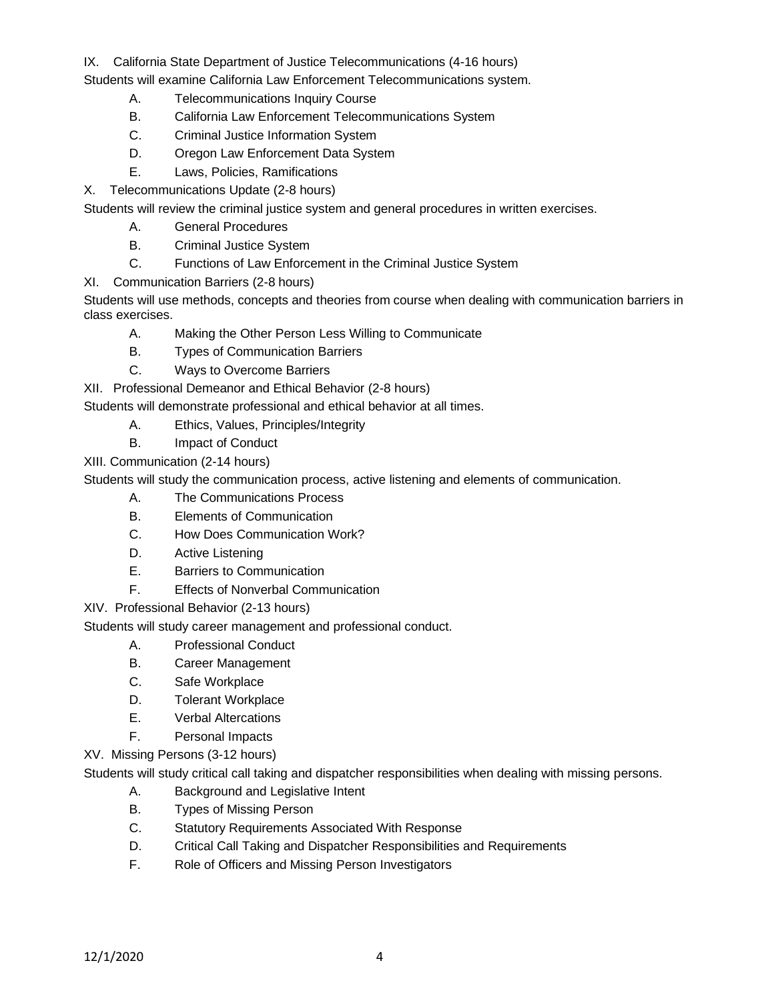IX. California State Department of Justice Telecommunications (4-16 hours)

Students will examine California Law Enforcement Telecommunications system.

- A. Telecommunications Inquiry Course
- B. California Law Enforcement Telecommunications System
- C. Criminal Justice Information System
- D. Oregon Law Enforcement Data System
- E. Laws, Policies, Ramifications
- X. Telecommunications Update (2-8 hours)

Students will review the criminal justice system and general procedures in written exercises.

- A. General Procedures
- B. Criminal Justice System
- C. Functions of Law Enforcement in the Criminal Justice System
- XI. Communication Barriers (2-8 hours)

Students will use methods, concepts and theories from course when dealing with communication barriers in class exercises.

- A. Making the Other Person Less Willing to Communicate
- B. Types of Communication Barriers
- C. Ways to Overcome Barriers

XII. Professional Demeanor and Ethical Behavior (2-8 hours)

Students will demonstrate professional and ethical behavior at all times.

- A. Ethics, Values, Principles/Integrity
- B. Impact of Conduct

XIII. Communication (2-14 hours)

Students will study the communication process, active listening and elements of communication.

- A. The Communications Process
- B. Elements of Communication
- C. How Does Communication Work?
- D. Active Listening
- E. Barriers to Communication
- F. Effects of Nonverbal Communication

XIV. Professional Behavior (2-13 hours)

Students will study career management and professional conduct.

- A. Professional Conduct
- B. Career Management
- C. Safe Workplace
- D. Tolerant Workplace
- E. Verbal Altercations
- F. Personal Impacts
- XV. Missing Persons (3-12 hours)

Students will study critical call taking and dispatcher responsibilities when dealing with missing persons.

- A. Background and Legislative Intent
- B. Types of Missing Person
- C. Statutory Requirements Associated With Response
- D. Critical Call Taking and Dispatcher Responsibilities and Requirements
- F. Role of Officers and Missing Person Investigators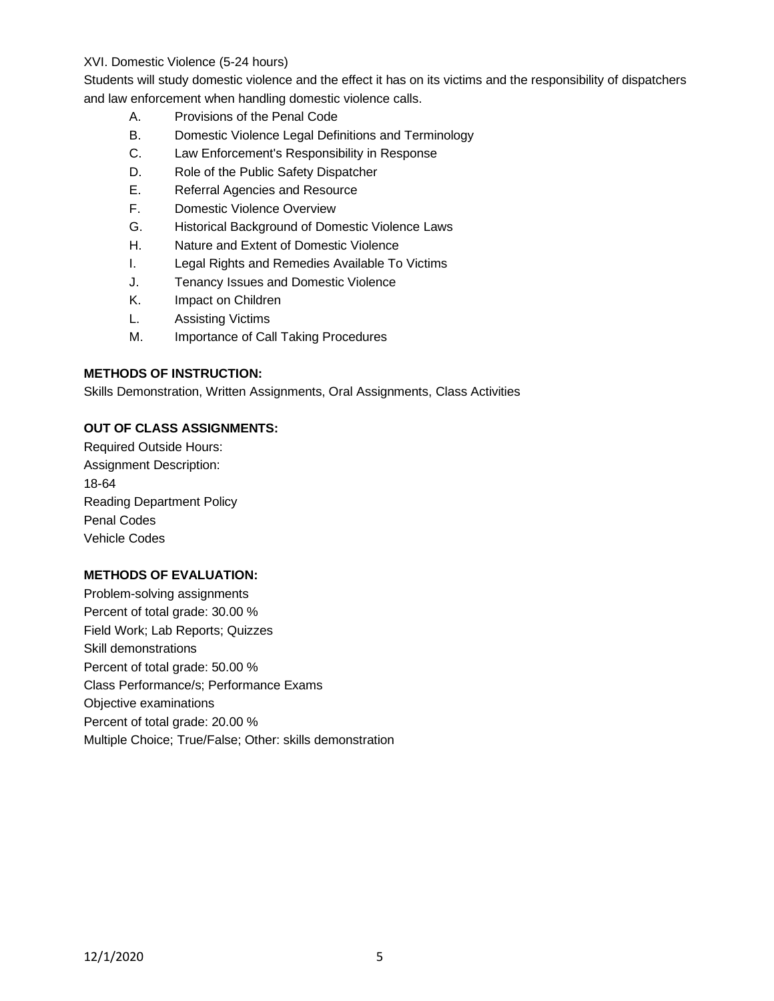# XVI. Domestic Violence (5-24 hours)

Students will study domestic violence and the effect it has on its victims and the responsibility of dispatchers and law enforcement when handling domestic violence calls.

- A. Provisions of the Penal Code
- B. Domestic Violence Legal Definitions and Terminology
- C. Law Enforcement's Responsibility in Response
- D. Role of the Public Safety Dispatcher
- E. Referral Agencies and Resource
- F. Domestic Violence Overview
- G. Historical Background of Domestic Violence Laws
- H. Nature and Extent of Domestic Violence
- I. Legal Rights and Remedies Available To Victims
- J. Tenancy Issues and Domestic Violence
- K. Impact on Children
- L. Assisting Victims
- M. Importance of Call Taking Procedures

## **METHODS OF INSTRUCTION:**

Skills Demonstration, Written Assignments, Oral Assignments, Class Activities

# **OUT OF CLASS ASSIGNMENTS:**

Required Outside Hours: Assignment Description: 18-64 Reading Department Policy Penal Codes Vehicle Codes

## **METHODS OF EVALUATION:**

Problem-solving assignments Percent of total grade: 30.00 % Field Work; Lab Reports; Quizzes Skill demonstrations Percent of total grade: 50.00 % Class Performance/s; Performance Exams Objective examinations Percent of total grade: 20.00 % Multiple Choice; True/False; Other: skills demonstration